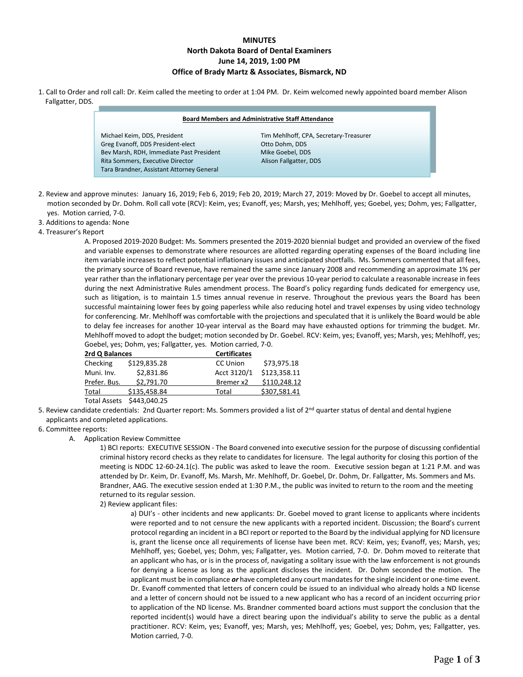# **MINUTES North Dakota Board of Dental Examiners June 14, 2019, 1:00 PM Office of Brady Martz & Associates, Bismarck, ND**

1. Call to Order and roll call: Dr. Keim called the meeting to order at 1:04 PM. Dr. Keim welcomed newly appointed board member Alison Fallgatter, DDS.

#### **Board Members and Administrative Staff Attendance**

Greg Evanoff, DDS President-elect **Channel Constanting Constanting Constanting Constanting Constanting Promism**<br>
Otto Doman Bow Marsh, DDS Bow Mike Goebel, DDS Bev Marsh, RDH, Immediate Past President Mike Goebel, DDS<br>
Rita Sommers, Executive Director Microsoft Mison Fallgatter, DDS Rita Sommers, Executive Director Tara Brandner, Assistant Attorney General

Michael Keim, DDS, President Tim Mehlhoff, CPA, Secretary-Treasurer

- 2. Review and approve minutes: January 16, 2019; Feb 6, 2019; Feb 20, 2019; March 27, 2019: Moved by Dr. Goebel to accept all minutes, motion seconded by Dr. Dohm. Roll call vote (RCV): Keim, yes; Evanoff, yes; Marsh, yes; Mehlhoff, yes; Goebel, yes; Dohm, yes; Fallgatter, yes. Motion carried, 7-0.
- 3. Additions to agenda: None

j

4. Treasurer's Report

A. Proposed 2019-2020 Budget: Ms. Sommers presented the 2019-2020 biennial budget and provided an overview of the fixed and variable expenses to demonstrate where resources are allotted regarding operating expenses of the Board including line item variable increases to reflect potential inflationary issues and anticipated shortfalls. Ms. Sommers commented that all fees, the primary source of Board revenue, have remained the same since January 2008 and recommending an approximate 1% per year rather than the inflationary percentage per year over the previous 10-year period to calculate a reasonable increase in fees during the next Administrative Rules amendment process. The Board's policy regarding funds dedicated for emergency use, such as litigation, is to maintain 1.5 times annual revenue in reserve. Throughout the previous years the Board has been successful maintaining lower fees by going paperless while also reducing hotel and travel expenses by using video technology for conferencing. Mr. Mehlhoff was comfortable with the projections and speculated that it is unlikely the Board would be able to delay fee increases for another 10-year interval as the Board may have exhausted options for trimming the budget. Mr. Mehlhoff moved to adopt the budget; motion seconded by Dr. Goebel. RCV: Keim, yes; Evanoff, yes; Marsh, yes; Mehlhoff, yes; Goebel, yes; Dohm, yes; Fallgatter, yes. Motion carried, 7-0.

| 2rd Q Balances        |              | <b>Certificates</b> |              |  |
|-----------------------|--------------|---------------------|--------------|--|
| Checking              | \$129,835.28 | <b>CC Union</b>     | \$73,975.18  |  |
| Muni. Inv.            | \$2,831.86   | Acct 3120/1         | \$123,358.11 |  |
| Prefer. Bus.          | \$2,791.70   | Bremer x2           | \$110.248.12 |  |
| Total                 | \$135.458.84 | Total               | \$307,581.41 |  |
| $T - 1 - 1$ A $- - 1$ | 0.122000     |                     |              |  |

Total Assets \$443,040.25

- 5. Review candidate credentials: 2nd Quarter report: Ms. Sommers provided a list of 2<sup>nd</sup> quarter status of dental and dental hygiene applicants and completed applications.
- 6. Committee reports:
	- A. Application Review Committee

1) BCI reports: EXECUTIVE SESSION - The Board convened into executive session for the purpose of discussing confidential criminal history record checks as they relate to candidates for licensure. The legal authority for closing this portion of the meeting is NDDC 12-60-24.1(c). The public was asked to leave the room. Executive session began at 1:21 P.M. and was attended by Dr. Keim, Dr. Evanoff, Ms. Marsh, Mr. Mehlhoff, Dr. Goebel, Dr. Dohm, Dr. Fallgatter, Ms. Sommers and Ms. Brandner, AAG. The executive session ended at 1:30 P.M., the public was invited to return to the room and the meeting returned to its regular session.

2) Review applicant files:

a) DUI's - other incidents and new applicants: Dr. Goebel moved to grant license to applicants where incidents were reported and to not censure the new applicants with a reported incident. Discussion; the Board's current protocol regarding an incident in a BCI report or reported to the Board by the individual applying for ND licensure is, grant the license once all requirements of license have been met. RCV: Keim, yes; Evanoff, yes; Marsh, yes; Mehlhoff, yes; Goebel, yes; Dohm, yes; Fallgatter, yes. Motion carried, 7-0. Dr. Dohm moved to reiterate that an applicant who has, or is in the process of, navigating a solitary issue with the law enforcement is not grounds for denying a license as long as the applicant discloses the incident. Dr. Dohm seconded the motion. The applicant must be in compliance *or* have completed any court mandates for the single incident or one-time event. Dr. Evanoff commented that letters of concern could be issued to an individual who already holds a ND license and a letter of concern should not be issued to a new applicant who has a record of an incident occurring prior to application of the ND license. Ms. Brandner commented board actions must support the conclusion that the reported incident(s) would have a direct bearing upon the individual's ability to serve the public as a dental practitioner. RCV: Keim, yes; Evanoff, yes; Marsh, yes; Mehlhoff, yes; Goebel, yes; Dohm, yes; Fallgatter, yes. Motion carried, 7-0.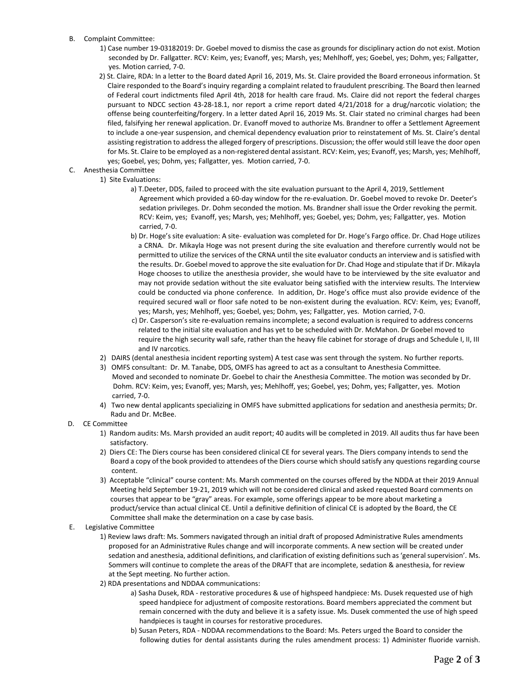- B. Complaint Committee:
	- 1) Case number 19-03182019: Dr. Goebel moved to dismiss the case as grounds for disciplinary action do not exist. Motion seconded by Dr. Fallgatter. RCV: Keim, yes; Evanoff, yes; Marsh, yes; Mehlhoff, yes; Goebel, yes; Dohm, yes; Fallgatter, yes. Motion carried, 7-0.
	- 2) St. Claire, RDA: In a letter to the Board dated April 16, 2019, Ms. St. Claire provided the Board erroneous information. St Claire responded to the Board's inquiry regarding a complaint related to fraudulent prescribing. The Board then learned of Federal court indictments filed April 4th, 2018 for health care fraud. Ms. Claire did not report the federal charges pursuant to NDCC section 43-28-18.1, nor report a crime report dated 4/21/2018 for a drug/narcotic violation; the offense being counterfeiting/forgery. In a letter dated April 16, 2019 Ms. St. Clair stated no criminal charges had been filed, falsifying her renewal application. Dr. Evanoff moved to authorize Ms. Brandner to offer a Settlement Agreement to include a one-year suspension, and chemical dependency evaluation prior to reinstatement of Ms. St. Claire's dental assisting registration to address the alleged forgery of prescriptions. Discussion; the offer would still leave the door open for Ms. St. Claire to be employed as a non-registered dental assistant. RCV: Keim, yes; Evanoff, yes; Marsh, yes; Mehlhoff, yes; Goebel, yes; Dohm, yes; Fallgatter, yes. Motion carried, 7-0.
- C. Anesthesia Committee
	- 1) Site Evaluations:
		- a) T.Deeter, DDS, failed to proceed with the site evaluation pursuant to the April 4, 2019, Settlement Agreement which provided a 60-day window for the re-evaluation. Dr. Goebel moved to revoke Dr. Deeter's sedation privileges. Dr. Dohm seconded the motion. Ms. Brandner shall issue the Order revoking the permit. RCV: Keim, yes; Evanoff, yes; Marsh, yes; Mehlhoff, yes; Goebel, yes; Dohm, yes; Fallgatter, yes. Motion carried, 7-0.
		- b) Dr. Hoge's site evaluation: A site- evaluation was completed for Dr. Hoge's Fargo office. Dr. Chad Hoge utilizes a CRNA. Dr. Mikayla Hoge was not present during the site evaluation and therefore currently would not be permitted to utilize the services of the CRNA until the site evaluator conducts an interview and is satisfied with the results. Dr. Goebel moved to approve the site evaluation for Dr. Chad Hoge and stipulate that if Dr. Mikayla Hoge chooses to utilize the anesthesia provider, she would have to be interviewed by the site evaluator and may not provide sedation without the site evaluator being satisfied with the interview results. The Interview could be conducted via phone conference. In addition, Dr. Hoge's office must also provide evidence of the required secured wall or floor safe noted to be non-existent during the evaluation. RCV: Keim, yes; Evanoff, yes; Marsh, yes; Mehlhoff, yes; Goebel, yes; Dohm, yes; Fallgatter, yes. Motion carried, 7-0.
		- c) Dr. Casperson's site re-evaluation remains incomplete; a second evaluation is required to address concerns related to the initial site evaluation and has yet to be scheduled with Dr. McMahon. Dr Goebel moved to require the high security wall safe, rather than the heavy file cabinet for storage of drugs and Schedule I, II, III and IV narcotics.
		- 2) DAIRS (dental anesthesia incident reporting system) A test case was sent through the system. No further reports.
		- 3) OMFS consultant: Dr. M. Tanabe, DDS, OMFS has agreed to act as a consultant to Anesthesia Committee. Moved and seconded to nominate Dr. Goebel to chair the Anesthesia Committee. The motion was seconded by Dr. Dohm. RCV: Keim, yes; Evanoff, yes; Marsh, yes; Mehlhoff, yes; Goebel, yes; Dohm, yes; Fallgatter, yes. Motion carried, 7-0.
		- 4) Two new dental applicants specializing in OMFS have submitted applications for sedation and anesthesia permits; Dr. Radu and Dr. McBee.
- D. CE Committee
	- 1) Random audits: Ms. Marsh provided an audit report; 40 audits will be completed in 2019. All audits thus far have been satisfactory.
	- 2) Diers CE: The Diers course has been considered clinical CE for several years. The Diers company intends to send the Board a copy of the book provided to attendees of the Diers course which should satisfy any questions regarding course content.
	- 3) Acceptable "clinical" course content: Ms. Marsh commented on the courses offered by the NDDA at their 2019 Annual Meeting held September 19-21, 2019 which will not be considered clinical and asked requested Board comments on courses that appear to be "gray" areas. For example, some offerings appear to be more about marketing a product/service than actual clinical CE. Until a definitive definition of clinical CE is adopted by the Board, the CE Committee shall make the determination on a case by case basis.
- E. Legislative Committee
	- 1) Review laws draft: Ms. Sommers navigated through an initial draft of proposed Administrative Rules amendments proposed for an Administrative Rules change and will incorporate comments. A new section will be created under sedation and anesthesia, additional definitions, and clarification of existing definitions such as 'general supervision'. Ms. Sommers will continue to complete the areas of the DRAFT that are incomplete, sedation & anesthesia, for review at the Sept meeting. No further action.
	- 2) RDA presentations and NDDAA communications:
		- a) Sasha Dusek, RDA restorative procedures & use of highspeed handpiece: Ms. Dusek requested use of high speed handpiece for adjustment of composite restorations. Board members appreciated the comment but remain concerned with the duty and believe it is a safety issue. Ms. Dusek commented the use of high speed handpieces is taught in courses for restorative procedures.
		- b) Susan Peters, RDA NDDAA recommendations to the Board: Ms. Peters urged the Board to consider the following duties for dental assistants during the rules amendment process: 1) Administer fluoride varnish.